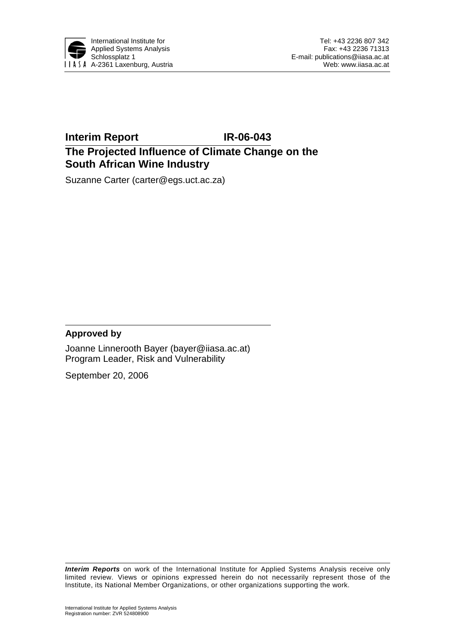

## **Interim Report IR-06-043 The Projected Influence of Climate Change on the South African Wine Industry**

Suzanne Carter (carter@egs.uct.ac.za)

### **Approved by**

Joanne Linnerooth Bayer (bayer@iiasa.ac.at) Program Leader, Risk and Vulnerability

September 20, 2006

*Interim Reports* on work of the International Institute for Applied Systems Analysis receive only limited review. Views or opinions expressed herein do not necessarily represent those of the Institute, its National Member Organizations, or other organizations supporting the work.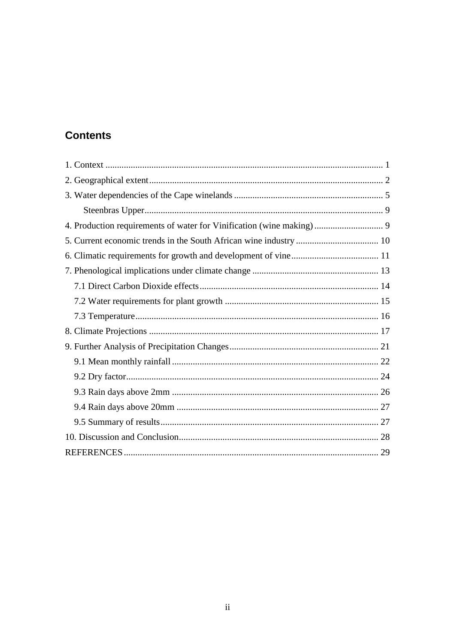# **Contents**

| 4. Production requirements of water for Vinification (wine making) 9 |  |
|----------------------------------------------------------------------|--|
|                                                                      |  |
|                                                                      |  |
|                                                                      |  |
|                                                                      |  |
|                                                                      |  |
|                                                                      |  |
|                                                                      |  |
|                                                                      |  |
|                                                                      |  |
|                                                                      |  |
|                                                                      |  |
|                                                                      |  |
|                                                                      |  |
|                                                                      |  |
|                                                                      |  |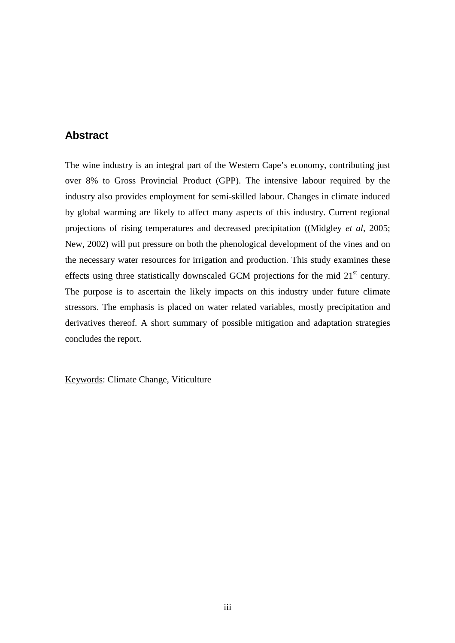### **Abstract**

The wine industry is an integral part of the Western Cape's economy, contributing just over 8% to Gross Provincial Product (GPP). The intensive labour required by the industry also provides employment for semi-skilled labour. Changes in climate induced by global warming are likely to affect many aspects of this industry. Current regional projections of rising temperatures and decreased precipitation ((Midgley *et al*, 2005; New, 2002) will put pressure on both the phenological development of the vines and on the necessary water resources for irrigation and production. This study examines these effects using three statistically downscaled GCM projections for the mid  $21<sup>st</sup>$  century. The purpose is to ascertain the likely impacts on this industry under future climate stressors. The emphasis is placed on water related variables, mostly precipitation and derivatives thereof. A short summary of possible mitigation and adaptation strategies concludes the report.

Keywords: Climate Change, Viticulture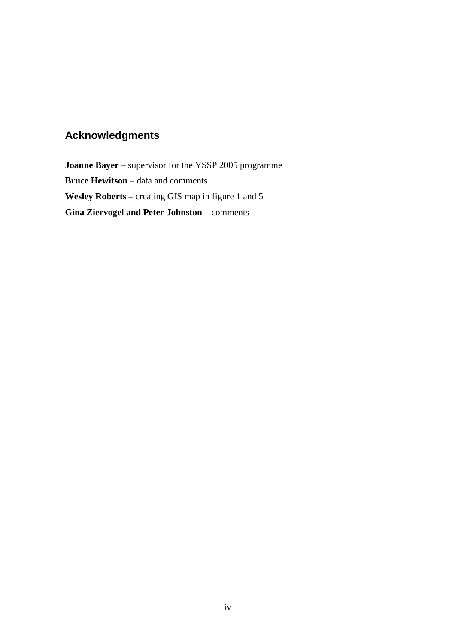# **Acknowledgments**

**Joanne Bayer** – supervisor for the YSSP 2005 programme **Bruce Hewitson** – data and comments **Wesley Roberts** – creating GIS map in figure 1 and 5 **Gina Ziervogel and Peter Johnston** – comments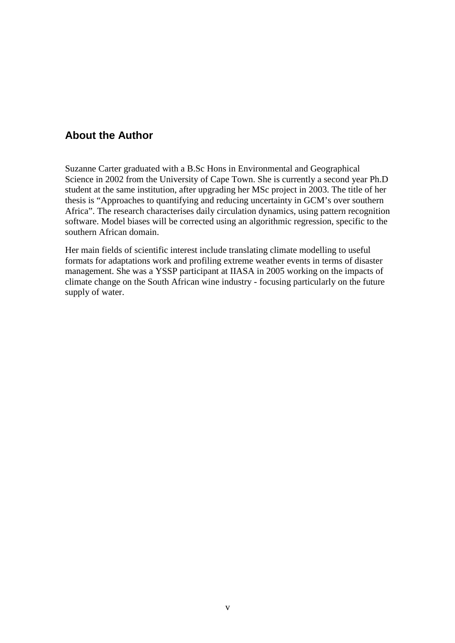## **About the Author**

Suzanne Carter graduated with a B.Sc Hons in Environmental and Geographical Science in 2002 from the University of Cape Town. She is currently a second year Ph.D student at the same institution, after upgrading her MSc project in 2003. The title of her thesis is "Approaches to quantifying and reducing uncertainty in GCM's over southern Africa". The research characterises daily circulation dynamics, using pattern recognition software. Model biases will be corrected using an algorithmic regression, specific to the southern African domain.

Her main fields of scientific interest include translating climate modelling to useful formats for adaptations work and profiling extreme weather events in terms of disaster management. She was a YSSP participant at IIASA in 2005 working on the impacts of climate change on the South African wine industry - focusing particularly on the future supply of water.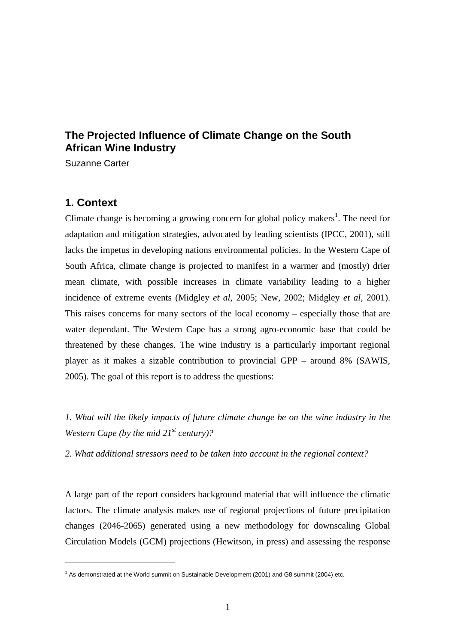## **The Projected Influence of Climate Change on the South African Wine Industry**

Suzanne Carter

### **1. Context**

 $\overline{a}$ 

Climate change is becoming a growing concern for global policy makers<sup>1</sup>. The need for adaptation and mitigation strategies, advocated by leading scientists (IPCC, 2001), still lacks the impetus in developing nations environmental policies. In the Western Cape of South Africa, climate change is projected to manifest in a warmer and (mostly) drier mean climate, with possible increases in climate variability leading to a higher incidence of extreme events (Midgley *et al*, 2005; New, 2002; Midgley *et al*, 2001). This raises concerns for many sectors of the local economy – especially those that are water dependant. The Western Cape has a strong agro-economic base that could be threatened by these changes. The wine industry is a particularly important regional player as it makes a sizable contribution to provincial GPP – around 8% (SAWIS, 2005). The goal of this report is to address the questions:

*1. What will the likely impacts of future climate change be on the wine industry in the Western Cape (by the mid 21st century)?* 

*2. What additional stressors need to be taken into account in the regional context?* 

A large part of the report considers background material that will influence the climatic factors. The climate analysis makes use of regional projections of future precipitation changes (2046-2065) generated using a new methodology for downscaling Global Circulation Models (GCM) projections (Hewitson, in press) and assessing the response

<sup>&</sup>lt;sup>1</sup> As demonstrated at the World summit on Sustainable Development (2001) and G8 summit (2004) etc.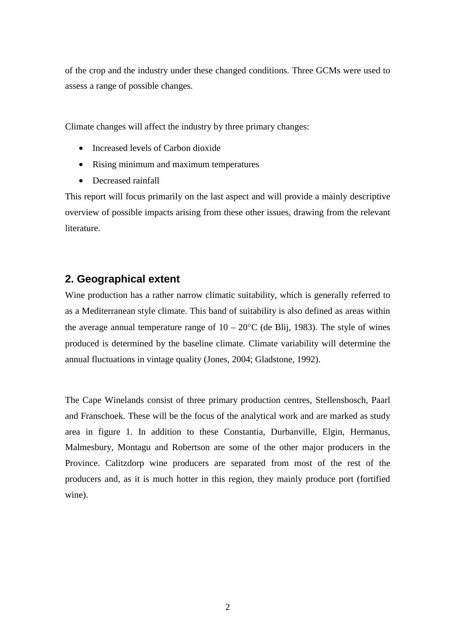of the crop and the industry under these changed conditions. Three GCMs were used to assess a range of possible changes.

Climate changes will affect the industry by three primary changes:

- Increased levels of Carbon dioxide
- Rising minimum and maximum temperatures
- Decreased rainfall

This report will focus primarily on the last aspect and will provide a mainly descriptive overview of possible impacts arising from these other issues, drawing from the relevant literature.

## **2. Geographical extent**

Wine production has a rather narrow climatic suitability, which is generally referred to as a Mediterranean style climate. This band of suitability is also defined as areas within the average annual temperature range of  $10 - 20^{\circ}$ C (de Blij, 1983). The style of wines produced is determined by the baseline climate. Climate variability will determine the annual fluctuations in vintage quality (Jones, 2004; Gladstone, 1992).

The Cape Winelands consist of three primary production centres, Stellensbosch, Paarl and Franschoek. These will be the focus of the analytical work and are marked as study area in figure 1. In addition to these Constantia, Durbanville, Elgin, Hermanus, Malmesbury, Montagu and Robertson are some of the other major producers in the Province. Calitzdorp wine producers are separated from most of the rest of the producers and, as it is much hotter in this region, they mainly produce port (fortified wine).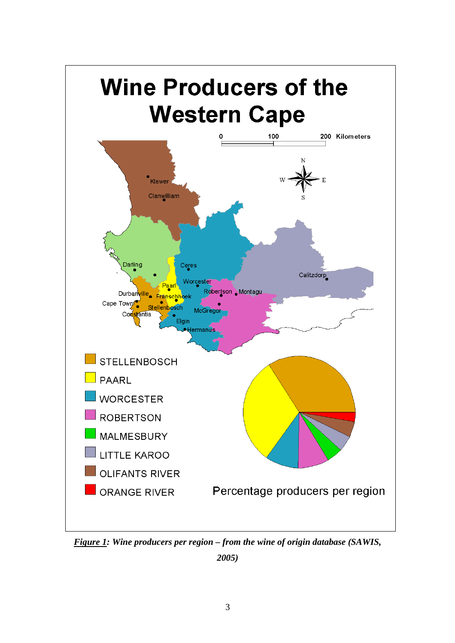

*Figure 1: Wine producers per region – from the wine of origin database (SAWIS,* 

*2005)*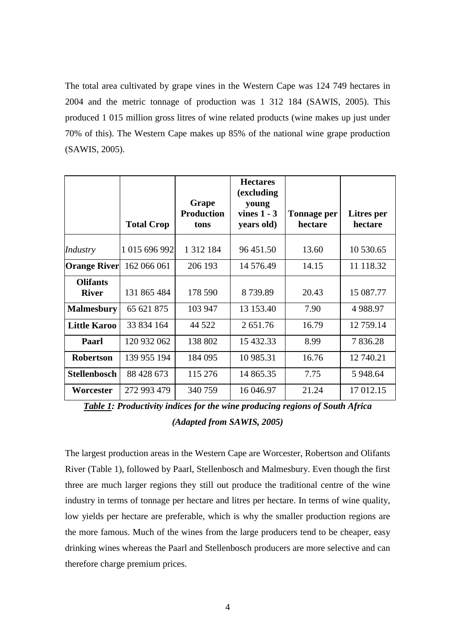The total area cultivated by grape vines in the Western Cape was 124 749 hectares in 2004 and the metric tonnage of production was 1 312 184 (SAWIS, 2005). This produced 1 015 million gross litres of wine related products (wine makes up just under 70% of this). The Western Cape makes up 85% of the national wine grape production (SAWIS, 2005).

|                                 | <b>Total Crop</b> | Grape<br><b>Production</b><br>tons | <b>Hectares</b><br>(excluding<br>young<br>vines $1 - 3$<br>years old) | <b>Tonnage per</b><br>hectare | <b>Litres</b> per<br>hectare |
|---------------------------------|-------------------|------------------------------------|-----------------------------------------------------------------------|-------------------------------|------------------------------|
| Industry                        | 1 015 696 992     | 1 3 1 2 1 8 4                      | 96 451.50                                                             | 13.60                         | 10 530.65                    |
| <b>Orange River</b>             | 162 066 061       | 206 193                            | 14 576.49                                                             | 14.15                         | 11 118.32                    |
| <b>Olifants</b><br><b>River</b> | 131 865 484       | 178 590                            | 8739.89                                                               | 20.43                         | 15 087.77                    |
| <b>Malmesbury</b>               | 65 621 875        | 103 947                            | 13 153.40                                                             | 7.90                          | 4 9 8 8.97                   |
| <b>Little Karoo</b>             | 33 834 164        | 44 5 22                            | 2651.76                                                               | 16.79                         | 12 759.14                    |
| Paarl                           | 120 932 062       | 138 802                            | 15 432.33                                                             | 8.99                          | 7836.28                      |
| <b>Robertson</b>                | 139 955 194       | 184 095                            | 10 985.31                                                             | 16.76                         | 12 740.21                    |
| <b>Stellenbosch</b>             | 88 428 673        | 115 276                            | 14 865.35                                                             | 7.75                          | 5 948.64                     |
| Worcester                       | 272 993 479       | 340759                             | 16 04 6.97                                                            | 21.24                         | 17 012.15                    |

*Table 1: Productivity indices for the wine producing regions of South Africa (Adapted from SAWIS, 2005)* 

The largest production areas in the Western Cape are Worcester, Robertson and Olifants River (Table 1), followed by Paarl, Stellenbosch and Malmesbury. Even though the first three are much larger regions they still out produce the traditional centre of the wine industry in terms of tonnage per hectare and litres per hectare. In terms of wine quality, low yields per hectare are preferable, which is why the smaller production regions are the more famous. Much of the wines from the large producers tend to be cheaper, easy drinking wines whereas the Paarl and Stellenbosch producers are more selective and can therefore charge premium prices.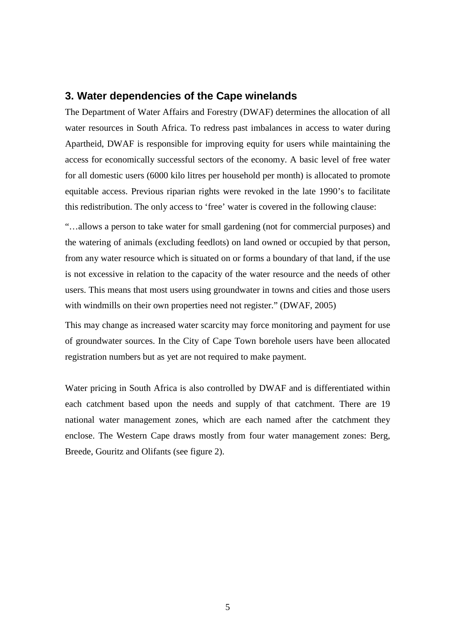### **3. Water dependencies of the Cape winelands**

The Department of Water Affairs and Forestry (DWAF) determines the allocation of all water resources in South Africa. To redress past imbalances in access to water during Apartheid, DWAF is responsible for improving equity for users while maintaining the access for economically successful sectors of the economy. A basic level of free water for all domestic users (6000 kilo litres per household per month) is allocated to promote equitable access. Previous riparian rights were revoked in the late 1990's to facilitate this redistribution. The only access to 'free' water is covered in the following clause:

"…allows a person to take water for small gardening (not for commercial purposes) and the watering of animals (excluding feedlots) on land owned or occupied by that person, from any water resource which is situated on or forms a boundary of that land, if the use is not excessive in relation to the capacity of the water resource and the needs of other users. This means that most users using groundwater in towns and cities and those users with windmills on their own properties need not register." (DWAF, 2005)

This may change as increased water scarcity may force monitoring and payment for use of groundwater sources. In the City of Cape Town borehole users have been allocated registration numbers but as yet are not required to make payment.

Water pricing in South Africa is also controlled by DWAF and is differentiated within each catchment based upon the needs and supply of that catchment. There are 19 national water management zones, which are each named after the catchment they enclose. The Western Cape draws mostly from four water management zones: Berg, Breede, Gouritz and Olifants (see figure 2).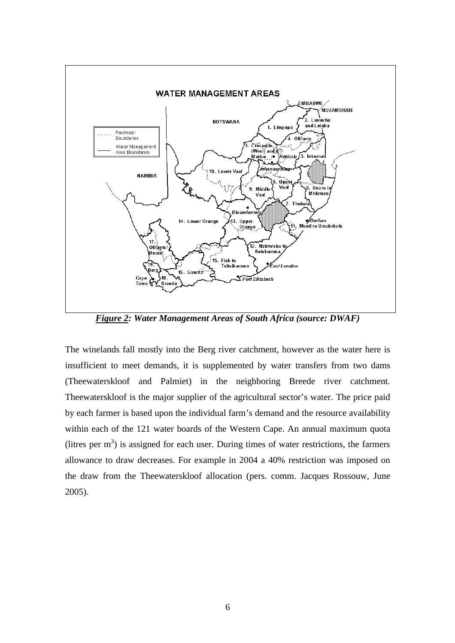

*Figure 2: Water Management Areas of South Africa (source: DWAF)* 

The winelands fall mostly into the Berg river catchment, however as the water here is insufficient to meet demands, it is supplemented by water transfers from two dams (Theewaterskloof and Palmiet) in the neighboring Breede river catchment. Theewaterskloof is the major supplier of the agricultural sector's water. The price paid by each farmer is based upon the individual farm's demand and the resource availability within each of the 121 water boards of the Western Cape. An annual maximum quota (litres per  $m<sup>3</sup>$ ) is assigned for each user. During times of water restrictions, the farmers allowance to draw decreases. For example in 2004 a 40% restriction was imposed on the draw from the Theewaterskloof allocation (pers. comm. Jacques Rossouw, June 2005).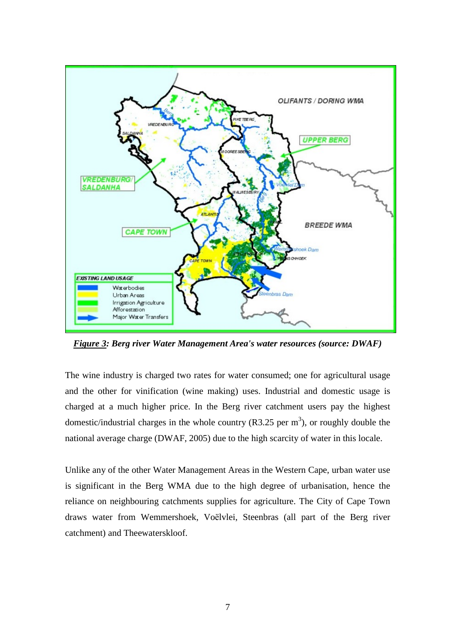

*Figure 3: Berg river Water Management Area's water resources (source: DWAF)* 

The wine industry is charged two rates for water consumed; one for agricultural usage and the other for vinification (wine making) uses. Industrial and domestic usage is charged at a much higher price. In the Berg river catchment users pay the highest domestic/industrial charges in the whole country  $(R3.25 \text{ per m}^3)$ , or roughly double the national average charge (DWAF, 2005) due to the high scarcity of water in this locale.

Unlike any of the other Water Management Areas in the Western Cape, urban water use is significant in the Berg WMA due to the high degree of urbanisation, hence the reliance on neighbouring catchments supplies for agriculture. The City of Cape Town draws water from Wemmershoek, Voёlvlei, Steenbras (all part of the Berg river catchment) and Theewaterskloof.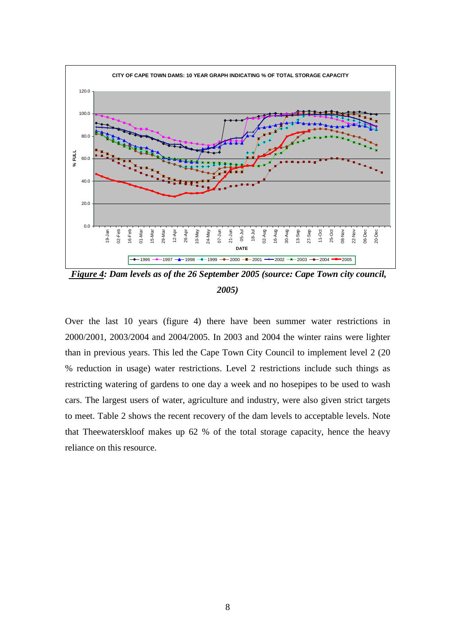

 *Figure 4: Dam levels as of the 26 September 2005 (source: Cape Town city council, 2005)* 

Over the last 10 years (figure 4) there have been summer water restrictions in 2000/2001, 2003/2004 and 2004/2005. In 2003 and 2004 the winter rains were lighter than in previous years. This led the Cape Town City Council to implement level 2 (20 % reduction in usage) water restrictions. Level 2 restrictions include such things as restricting watering of gardens to one day a week and no hosepipes to be used to wash cars. The largest users of water, agriculture and industry, were also given strict targets to meet. Table 2 shows the recent recovery of the dam levels to acceptable levels. Note that Theewaterskloof makes up 62 % of the total storage capacity, hence the heavy reliance on this resource.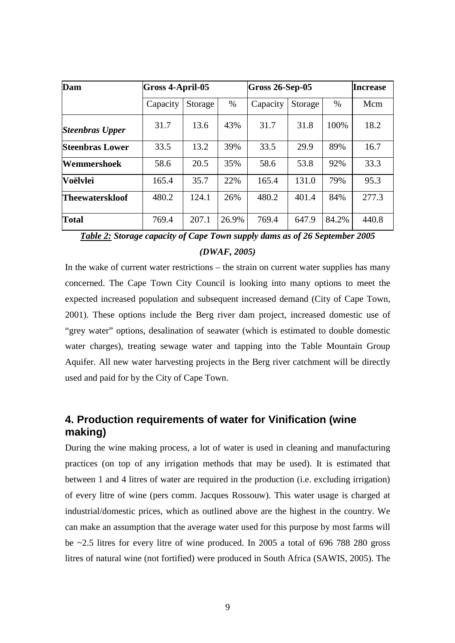| Dam                    | <b>Gross 4-April-05</b> |         |       | $Gross 26-Sep-05$ | <b>Increase</b> |       |       |
|------------------------|-------------------------|---------|-------|-------------------|-----------------|-------|-------|
|                        | Capacity                | Storage | $\%$  | Capacity          | Storage         | $\%$  | Mcm   |
| <b>Steenbras Upper</b> | 31.7                    | 13.6    | 43%   | 31.7              | 31.8            | 100%  | 18.2  |
| <b>Steenbras Lower</b> | 33.5                    | 13.2    | 39%   | 33.5              | 29.9            | 89%   | 16.7  |
| Wemmershoek            | 58.6                    | 20.5    | 35%   | 58.6              | 53.8            | 92%   | 33.3  |
| Voëlvlei               | 165.4                   | 35.7    | 22%   | 165.4             | 131.0           | 79%   | 95.3  |
| <b>Theewaterskloof</b> | 480.2                   | 124.1   | 26%   | 480.2             | 401.4           | 84%   | 277.3 |
| <b>Total</b>           | 769.4                   | 207.1   | 26.9% | 769.4             | 647.9           | 84.2% | 440.8 |

*Table 2: Storage capacity of Cape Town supply dams as of 26 September 2005 (DWAF, 2005)* 

In the wake of current water restrictions – the strain on current water supplies has many concerned. The Cape Town City Council is looking into many options to meet the expected increased population and subsequent increased demand (City of Cape Town, 2001). These options include the Berg river dam project, increased domestic use of "grey water" options, desalination of seawater (which is estimated to double domestic water charges), treating sewage water and tapping into the Table Mountain Group Aquifer. All new water harvesting projects in the Berg river catchment will be directly used and paid for by the City of Cape Town.

## **4. Production requirements of water for Vinification (wine making)**

During the wine making process, a lot of water is used in cleaning and manufacturing practices (on top of any irrigation methods that may be used). It is estimated that between 1 and 4 litres of water are required in the production (i.e. excluding irrigation) of every litre of wine (pers comm. Jacques Rossouw). This water usage is charged at industrial/domestic prices, which as outlined above are the highest in the country. We can make an assumption that the average water used for this purpose by most farms will be ~2.5 litres for every litre of wine produced. In 2005 a total of 696 788 280 gross litres of natural wine (not fortified) were produced in South Africa (SAWIS, 2005). The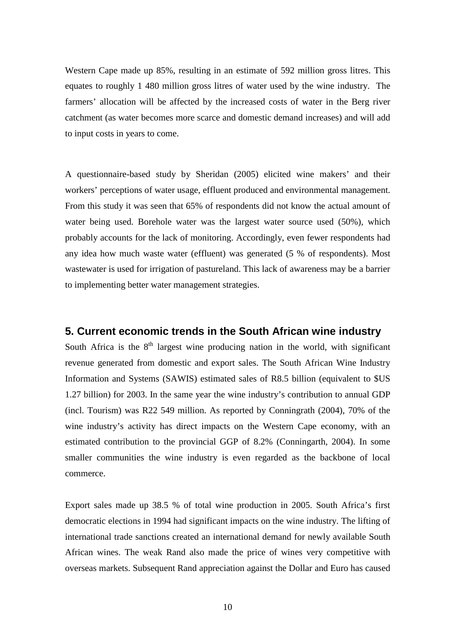Western Cape made up 85%, resulting in an estimate of 592 million gross litres. This equates to roughly 1 480 million gross litres of water used by the wine industry. The farmers' allocation will be affected by the increased costs of water in the Berg river catchment (as water becomes more scarce and domestic demand increases) and will add to input costs in years to come.

A questionnaire-based study by Sheridan (2005) elicited wine makers' and their workers' perceptions of water usage, effluent produced and environmental management. From this study it was seen that 65% of respondents did not know the actual amount of water being used. Borehole water was the largest water source used (50%), which probably accounts for the lack of monitoring. Accordingly, even fewer respondents had any idea how much waste water (effluent) was generated (5 % of respondents). Most wastewater is used for irrigation of pastureland. This lack of awareness may be a barrier to implementing better water management strategies.

### **5. Current economic trends in the South African wine industry**

South Africa is the  $8<sup>th</sup>$  largest wine producing nation in the world, with significant revenue generated from domestic and export sales. The South African Wine Industry Information and Systems (SAWIS) estimated sales of R8.5 billion (equivalent to \$US 1.27 billion) for 2003. In the same year the wine industry's contribution to annual GDP (incl. Tourism) was R22 549 million. As reported by Conningrath (2004), 70% of the wine industry's activity has direct impacts on the Western Cape economy, with an estimated contribution to the provincial GGP of 8.2% (Conningarth, 2004). In some smaller communities the wine industry is even regarded as the backbone of local commerce.

Export sales made up 38.5 % of total wine production in 2005. South Africa's first democratic elections in 1994 had significant impacts on the wine industry. The lifting of international trade sanctions created an international demand for newly available South African wines. The weak Rand also made the price of wines very competitive with overseas markets. Subsequent Rand appreciation against the Dollar and Euro has caused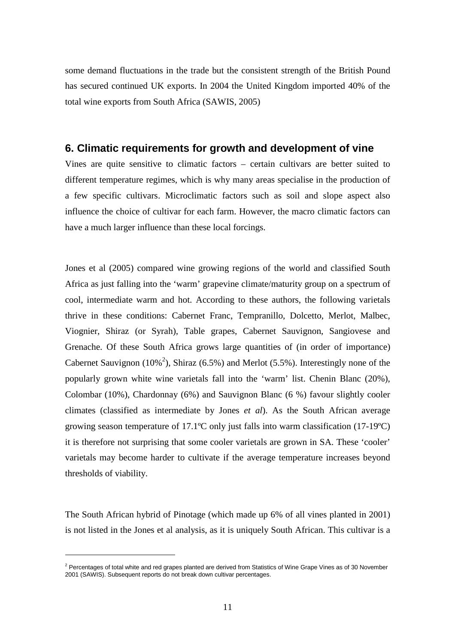some demand fluctuations in the trade but the consistent strength of the British Pound has secured continued UK exports. In 2004 the United Kingdom imported 40% of the total wine exports from South Africa (SAWIS, 2005)

### **6. Climatic requirements for growth and development of vine**

Vines are quite sensitive to climatic factors – certain cultivars are better suited to different temperature regimes, which is why many areas specialise in the production of a few specific cultivars. Microclimatic factors such as soil and slope aspect also influence the choice of cultivar for each farm. However, the macro climatic factors can have a much larger influence than these local forcings.

Jones et al (2005) compared wine growing regions of the world and classified South Africa as just falling into the 'warm' grapevine climate/maturity group on a spectrum of cool, intermediate warm and hot. According to these authors, the following varietals thrive in these conditions: Cabernet Franc, Tempranillo, Dolcetto, Merlot, Malbec, Viognier, Shiraz (or Syrah), Table grapes, Cabernet Sauvignon, Sangiovese and Grenache. Of these South Africa grows large quantities of (in order of importance) Cabernet Sauvignon (10%<sup>2</sup>), Shiraz (6.5%) and Merlot (5.5%). Interestingly none of the popularly grown white wine varietals fall into the 'warm' list. Chenin Blanc (20%), Colombar (10%), Chardonnay (6%) and Sauvignon Blanc (6 %) favour slightly cooler climates (classified as intermediate by Jones *et al*). As the South African average growing season temperature of 17.1ºC only just falls into warm classification (17-19ºC) it is therefore not surprising that some cooler varietals are grown in SA. These 'cooler' varietals may become harder to cultivate if the average temperature increases beyond thresholds of viability.

The South African hybrid of Pinotage (which made up 6% of all vines planted in 2001) is not listed in the Jones et al analysis, as it is uniquely South African. This cultivar is a

 $\overline{a}$ 

<sup>&</sup>lt;sup>2</sup> Percentages of total white and red grapes planted are derived from Statistics of Wine Grape Vines as of 30 November 2001 (SAWIS). Subsequent reports do not break down cultivar percentages.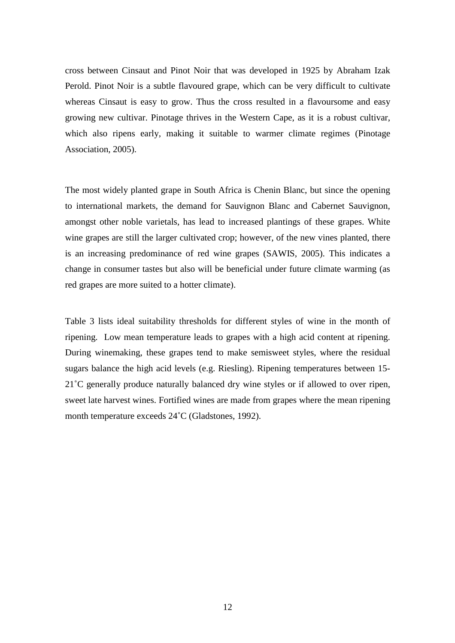cross between Cinsaut and Pinot Noir that was developed in 1925 by Abraham Izak Perold. Pinot Noir is a subtle flavoured grape, which can be very difficult to cultivate whereas Cinsaut is easy to grow. Thus the cross resulted in a flavoursome and easy growing new cultivar. Pinotage thrives in the Western Cape, as it is a robust cultivar, which also ripens early, making it suitable to warmer climate regimes (Pinotage Association, 2005).

The most widely planted grape in South Africa is Chenin Blanc, but since the opening to international markets, the demand for Sauvignon Blanc and Cabernet Sauvignon, amongst other noble varietals, has lead to increased plantings of these grapes. White wine grapes are still the larger cultivated crop; however, of the new vines planted, there is an increasing predominance of red wine grapes (SAWIS, 2005). This indicates a change in consumer tastes but also will be beneficial under future climate warming (as red grapes are more suited to a hotter climate).

Table 3 lists ideal suitability thresholds for different styles of wine in the month of ripening. Low mean temperature leads to grapes with a high acid content at ripening. During winemaking, these grapes tend to make semisweet styles, where the residual sugars balance the high acid levels (e.g. Riesling). Ripening temperatures between 15- 21˚C generally produce naturally balanced dry wine styles or if allowed to over ripen, sweet late harvest wines. Fortified wines are made from grapes where the mean ripening month temperature exceeds 24˚C (Gladstones, 1992).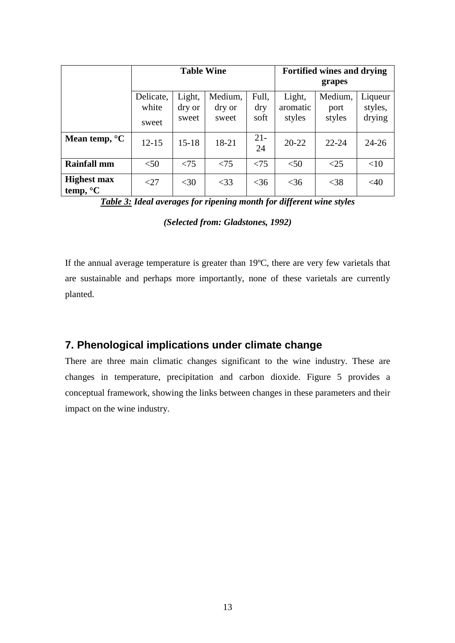|                                          |                             | <b>Table Wine</b>         |                            | <b>Fortified wines and drying</b><br>grapes |                              |                           |                              |
|------------------------------------------|-----------------------------|---------------------------|----------------------------|---------------------------------------------|------------------------------|---------------------------|------------------------------|
|                                          | Delicate,<br>white<br>sweet | Light,<br>dry or<br>sweet | Medium,<br>dry or<br>sweet | Full.<br>dry<br>soft                        | Light,<br>aromatic<br>styles | Medium,<br>port<br>styles | Liqueur<br>styles,<br>drying |
| Mean temp, $\mathrm{C}$                  | $12 - 15$                   | $15 - 18$                 | 18-21                      | $21 -$<br>24                                | $20 - 22$                    | $22 - 24$                 | $24 - 26$                    |
| <b>Rainfall mm</b>                       | < 50                        | < 75                      | < 75                       | < 75                                        | < 50                         | <25                       | <10                          |
| <b>Highest max</b><br>temp, $\mathrm{C}$ | $<$ 27                      | $<$ 30                    | $<$ 33                     | $<$ 36                                      | $<$ 36                       | $<$ 38                    | <40                          |

*Table 3: Ideal averages for ripening month for different wine styles* 

### *(Selected from: Gladstones, 1992)*

If the annual average temperature is greater than 19ºC, there are very few varietals that are sustainable and perhaps more importantly, none of these varietals are currently planted.

## **7. Phenological implications under climate change**

There are three main climatic changes significant to the wine industry. These are changes in temperature, precipitation and carbon dioxide. Figure 5 provides a conceptual framework, showing the links between changes in these parameters and their impact on the wine industry.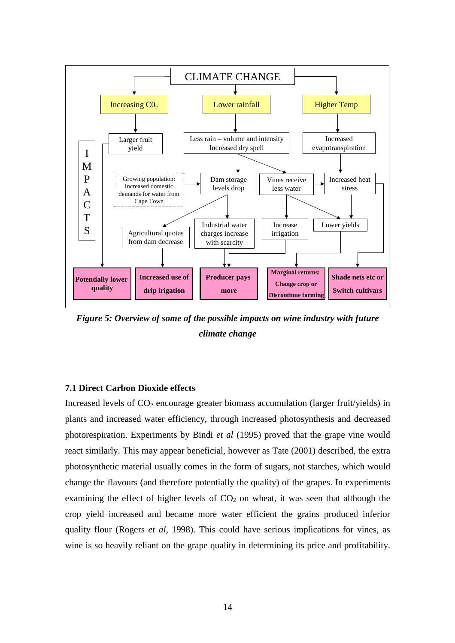

*Figure 5: Overview of some of the possible impacts on wine industry with future climate change* 

### **7.1 Direct Carbon Dioxide effects**

Increased levels of  $CO<sub>2</sub>$  encourage greater biomass accumulation (larger fruit/yields) in plants and increased water efficiency, through increased photosynthesis and decreased photorespiration. Experiments by Bindi *et al* (1995) proved that the grape vine would react similarly. This may appear beneficial, however as Tate (2001) described, the extra photosynthetic material usually comes in the form of sugars, not starches, which would change the flavours (and therefore potentially the quality) of the grapes. In experiments examining the effect of higher levels of  $CO<sub>2</sub>$  on wheat, it was seen that although the crop yield increased and became more water efficient the grains produced inferior quality flour (Rogers *et al*, 1998). This could have serious implications for vines, as wine is so heavily reliant on the grape quality in determining its price and profitability.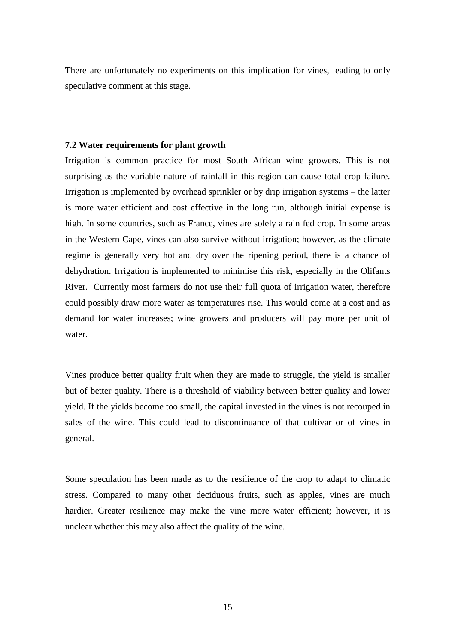There are unfortunately no experiments on this implication for vines, leading to only speculative comment at this stage.

#### **7.2 Water requirements for plant growth**

Irrigation is common practice for most South African wine growers. This is not surprising as the variable nature of rainfall in this region can cause total crop failure. Irrigation is implemented by overhead sprinkler or by drip irrigation systems – the latter is more water efficient and cost effective in the long run, although initial expense is high. In some countries, such as France, vines are solely a rain fed crop. In some areas in the Western Cape, vines can also survive without irrigation; however, as the climate regime is generally very hot and dry over the ripening period, there is a chance of dehydration. Irrigation is implemented to minimise this risk, especially in the Olifants River. Currently most farmers do not use their full quota of irrigation water, therefore could possibly draw more water as temperatures rise. This would come at a cost and as demand for water increases; wine growers and producers will pay more per unit of water.

Vines produce better quality fruit when they are made to struggle, the yield is smaller but of better quality. There is a threshold of viability between better quality and lower yield. If the yields become too small, the capital invested in the vines is not recouped in sales of the wine. This could lead to discontinuance of that cultivar or of vines in general.

Some speculation has been made as to the resilience of the crop to adapt to climatic stress. Compared to many other deciduous fruits, such as apples, vines are much hardier. Greater resilience may make the vine more water efficient; however, it is unclear whether this may also affect the quality of the wine.

15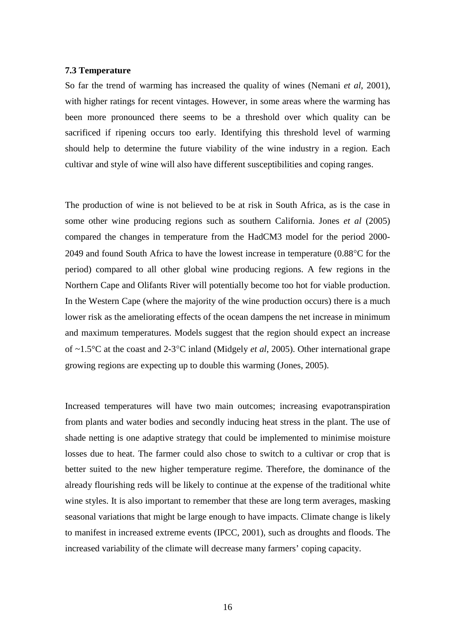#### **7.3 Temperature**

So far the trend of warming has increased the quality of wines (Nemani *et al*, 2001), with higher ratings for recent vintages. However, in some areas where the warming has been more pronounced there seems to be a threshold over which quality can be sacrificed if ripening occurs too early. Identifying this threshold level of warming should help to determine the future viability of the wine industry in a region. Each cultivar and style of wine will also have different susceptibilities and coping ranges.

The production of wine is not believed to be at risk in South Africa, as is the case in some other wine producing regions such as southern California. Jones *et al* (2005) compared the changes in temperature from the HadCM3 model for the period 2000- 2049 and found South Africa to have the lowest increase in temperature (0.88°C for the period) compared to all other global wine producing regions. A few regions in the Northern Cape and Olifants River will potentially become too hot for viable production. In the Western Cape (where the majority of the wine production occurs) there is a much lower risk as the ameliorating effects of the ocean dampens the net increase in minimum and maximum temperatures. Models suggest that the region should expect an increase of ~1.5°C at the coast and 2-3°C inland (Midgely *et al*, 2005). Other international grape growing regions are expecting up to double this warming (Jones, 2005).

Increased temperatures will have two main outcomes; increasing evapotranspiration from plants and water bodies and secondly inducing heat stress in the plant. The use of shade netting is one adaptive strategy that could be implemented to minimise moisture losses due to heat. The farmer could also chose to switch to a cultivar or crop that is better suited to the new higher temperature regime. Therefore, the dominance of the already flourishing reds will be likely to continue at the expense of the traditional white wine styles. It is also important to remember that these are long term averages, masking seasonal variations that might be large enough to have impacts. Climate change is likely to manifest in increased extreme events (IPCC, 2001), such as droughts and floods. The increased variability of the climate will decrease many farmers' coping capacity.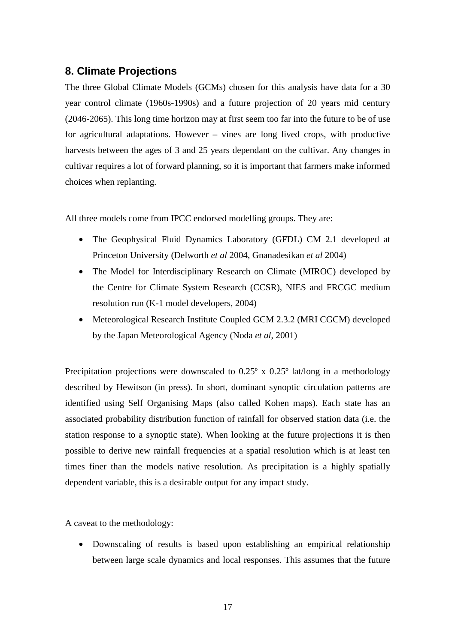## **8. Climate Projections**

The three Global Climate Models (GCMs) chosen for this analysis have data for a 30 year control climate (1960s-1990s) and a future projection of 20 years mid century (2046-2065). This long time horizon may at first seem too far into the future to be of use for agricultural adaptations. However – vines are long lived crops, with productive harvests between the ages of 3 and 25 years dependant on the cultivar. Any changes in cultivar requires a lot of forward planning, so it is important that farmers make informed choices when replanting.

All three models come from IPCC endorsed modelling groups. They are:

- The Geophysical Fluid Dynamics Laboratory (GFDL) CM 2.1 developed at Princeton University (Delworth *et al* 2004, Gnanadesikan *et al* 2004)
- The Model for Interdisciplinary Research on Climate (MIROC) developed by the Centre for Climate System Research (CCSR), NIES and FRCGC medium resolution run (K-1 model developers, 2004)
- Meteorological Research Institute Coupled GCM 2.3.2 (MRI CGCM) developed by the Japan Meteorological Agency (Noda *et al*, 2001)

Precipitation projections were downscaled to 0.25° x 0.25° lat/long in a methodology described by Hewitson (in press). In short, dominant synoptic circulation patterns are identified using Self Organising Maps (also called Kohen maps). Each state has an associated probability distribution function of rainfall for observed station data (i.e. the station response to a synoptic state). When looking at the future projections it is then possible to derive new rainfall frequencies at a spatial resolution which is at least ten times finer than the models native resolution. As precipitation is a highly spatially dependent variable, this is a desirable output for any impact study.

A caveat to the methodology:

• Downscaling of results is based upon establishing an empirical relationship between large scale dynamics and local responses. This assumes that the future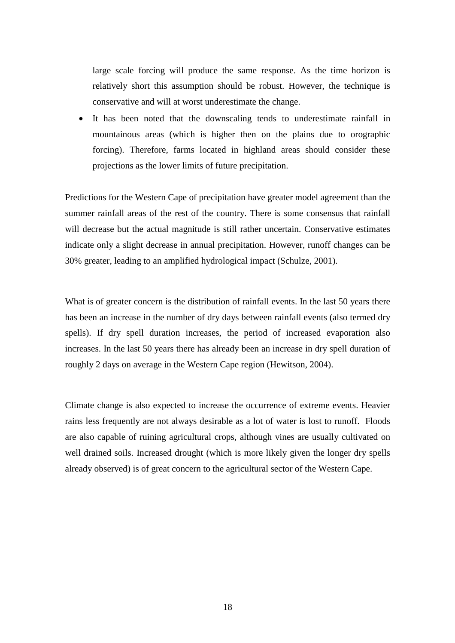large scale forcing will produce the same response. As the time horizon is relatively short this assumption should be robust. However, the technique is conservative and will at worst underestimate the change.

It has been noted that the downscaling tends to underestimate rainfall in mountainous areas (which is higher then on the plains due to orographic forcing). Therefore, farms located in highland areas should consider these projections as the lower limits of future precipitation.

Predictions for the Western Cape of precipitation have greater model agreement than the summer rainfall areas of the rest of the country. There is some consensus that rainfall will decrease but the actual magnitude is still rather uncertain. Conservative estimates indicate only a slight decrease in annual precipitation. However, runoff changes can be 30% greater, leading to an amplified hydrological impact (Schulze, 2001).

What is of greater concern is the distribution of rainfall events. In the last 50 years there has been an increase in the number of dry days between rainfall events (also termed dry spells). If dry spell duration increases, the period of increased evaporation also increases. In the last 50 years there has already been an increase in dry spell duration of roughly 2 days on average in the Western Cape region (Hewitson, 2004).

Climate change is also expected to increase the occurrence of extreme events. Heavier rains less frequently are not always desirable as a lot of water is lost to runoff. Floods are also capable of ruining agricultural crops, although vines are usually cultivated on well drained soils. Increased drought (which is more likely given the longer dry spells already observed) is of great concern to the agricultural sector of the Western Cape.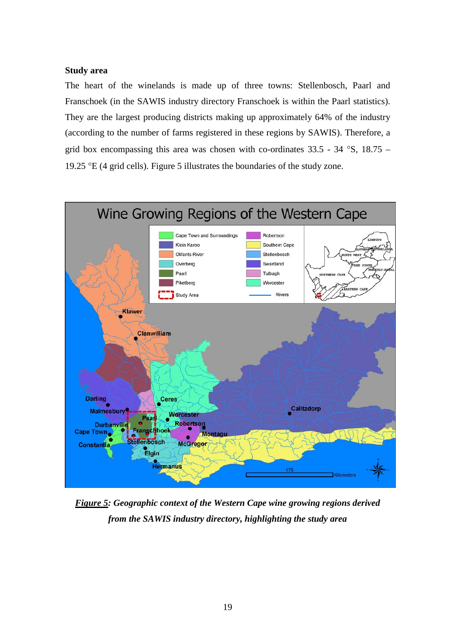#### **Study area**

The heart of the winelands is made up of three towns: Stellenbosch, Paarl and Franschoek (in the SAWIS industry directory Franschoek is within the Paarl statistics). They are the largest producing districts making up approximately 64% of the industry (according to the number of farms registered in these regions by SAWIS). Therefore, a grid box encompassing this area was chosen with co-ordinates  $33.5 - 34$  °S,  $18.75 -$ 19.25 °E (4 grid cells). Figure 5 illustrates the boundaries of the study zone.



*Figure 5: Geographic context of the Western Cape wine growing regions derived from the SAWIS industry directory, highlighting the study area*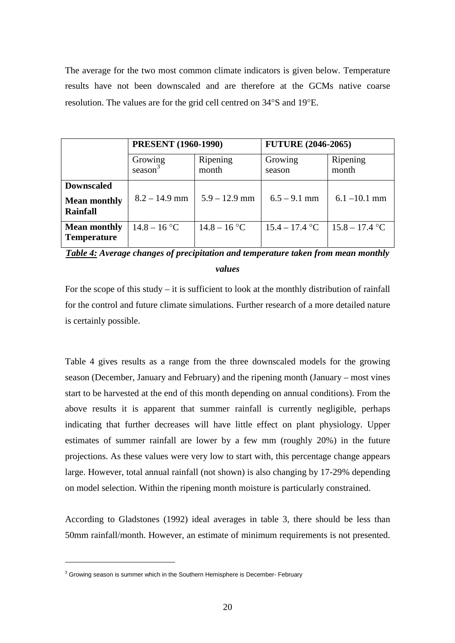The average for the two most common climate indicators is given below. Temperature results have not been downscaled and are therefore at the GCMs native coarse resolution. The values are for the grid cell centred on 34°S and 19°E.

|                                                             | <b>PRESENT</b> (1960-1990) |                   | <b>FUTURE (2046-2065)</b> |                   |  |  |
|-------------------------------------------------------------|----------------------------|-------------------|---------------------------|-------------------|--|--|
|                                                             | Growing<br>season $3$      | Ripening<br>month | Growing<br>season         | Ripening<br>month |  |  |
| <b>Downscaled</b><br><b>Mean monthly</b><br><b>Rainfall</b> | $8.2 - 14.9$ mm            | $5.9 - 12.9$ mm   | $6.5 - 9.1$ mm            | $6.1 - 10.1$ mm   |  |  |
| <b>Mean monthly</b><br><b>Temperature</b>                   | $14.8 - 16$ °C             | $14.8 - 16$ °C    | $15.4 - 17.4$ °C          | $15.8 - 17.4$ °C  |  |  |

*Table 4: Average changes of precipitation and temperature taken from mean monthly* 

### *values*

For the scope of this study – it is sufficient to look at the monthly distribution of rainfall for the control and future climate simulations. Further research of a more detailed nature is certainly possible.

Table 4 gives results as a range from the three downscaled models for the growing season (December, January and February) and the ripening month (January – most vines start to be harvested at the end of this month depending on annual conditions). From the above results it is apparent that summer rainfall is currently negligible, perhaps indicating that further decreases will have little effect on plant physiology. Upper estimates of summer rainfall are lower by a few mm (roughly 20%) in the future projections. As these values were very low to start with, this percentage change appears large. However, total annual rainfall (not shown) is also changing by 17-29% depending on model selection. Within the ripening month moisture is particularly constrained.

According to Gladstones (1992) ideal averages in table 3, there should be less than 50mm rainfall/month. However, an estimate of minimum requirements is not presented.

 $\overline{a}$ 

 $3$  Growing season is summer which in the Southern Hemisphere is December- February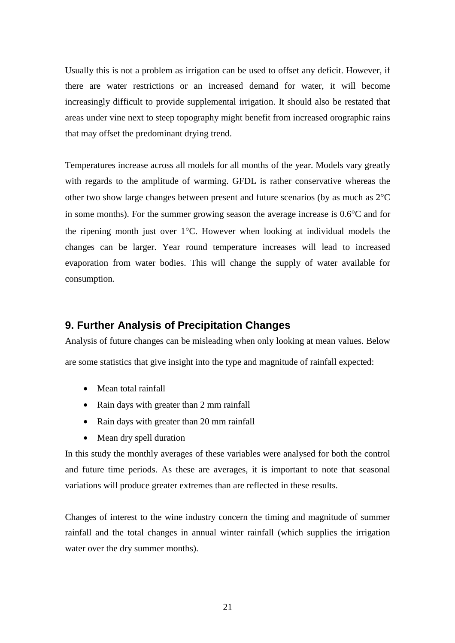Usually this is not a problem as irrigation can be used to offset any deficit. However, if there are water restrictions or an increased demand for water, it will become increasingly difficult to provide supplemental irrigation. It should also be restated that areas under vine next to steep topography might benefit from increased orographic rains that may offset the predominant drying trend.

Temperatures increase across all models for all months of the year. Models vary greatly with regards to the amplitude of warming. GFDL is rather conservative whereas the other two show large changes between present and future scenarios (by as much as 2°C in some months). For the summer growing season the average increase is 0.6°C and for the ripening month just over 1°C. However when looking at individual models the changes can be larger. Year round temperature increases will lead to increased evaporation from water bodies. This will change the supply of water available for consumption.

## **9. Further Analysis of Precipitation Changes**

Analysis of future changes can be misleading when only looking at mean values. Below are some statistics that give insight into the type and magnitude of rainfall expected:

- Mean total rainfall
- Rain days with greater than 2 mm rainfall
- Rain days with greater than 20 mm rainfall
- Mean dry spell duration

In this study the monthly averages of these variables were analysed for both the control and future time periods. As these are averages, it is important to note that seasonal variations will produce greater extremes than are reflected in these results.

Changes of interest to the wine industry concern the timing and magnitude of summer rainfall and the total changes in annual winter rainfall (which supplies the irrigation water over the dry summer months).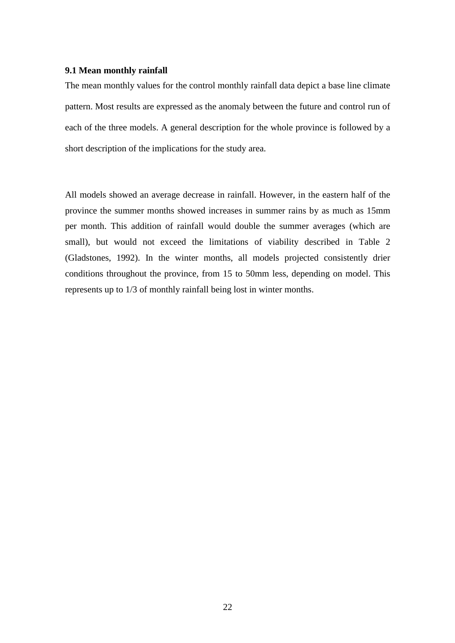#### **9.1 Mean monthly rainfall**

The mean monthly values for the control monthly rainfall data depict a base line climate pattern. Most results are expressed as the anomaly between the future and control run of each of the three models. A general description for the whole province is followed by a short description of the implications for the study area.

All models showed an average decrease in rainfall. However, in the eastern half of the province the summer months showed increases in summer rains by as much as 15mm per month. This addition of rainfall would double the summer averages (which are small), but would not exceed the limitations of viability described in Table 2 (Gladstones, 1992). In the winter months, all models projected consistently drier conditions throughout the province, from 15 to 50mm less, depending on model. This represents up to 1/3 of monthly rainfall being lost in winter months.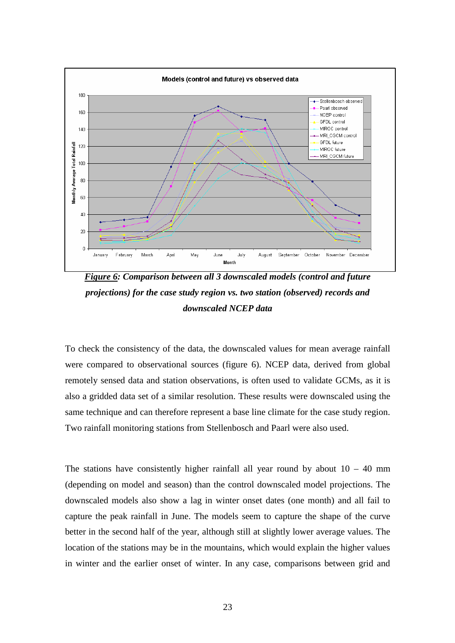

*Figure 6: Comparison between all 3 downscaled models (control and future projections) for the case study region vs. two station (observed) records and downscaled NCEP data* 

To check the consistency of the data, the downscaled values for mean average rainfall were compared to observational sources (figure 6). NCEP data, derived from global remotely sensed data and station observations, is often used to validate GCMs, as it is also a gridded data set of a similar resolution. These results were downscaled using the same technique and can therefore represent a base line climate for the case study region. Two rainfall monitoring stations from Stellenbosch and Paarl were also used.

The stations have consistently higher rainfall all year round by about  $10 - 40$  mm (depending on model and season) than the control downscaled model projections. The downscaled models also show a lag in winter onset dates (one month) and all fail to capture the peak rainfall in June. The models seem to capture the shape of the curve better in the second half of the year, although still at slightly lower average values. The location of the stations may be in the mountains, which would explain the higher values in winter and the earlier onset of winter. In any case, comparisons between grid and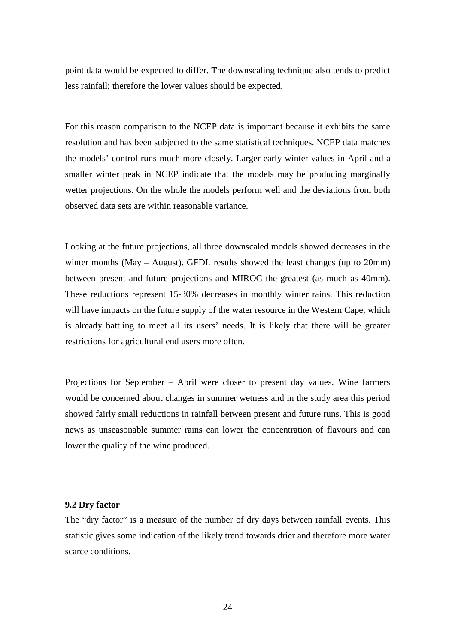point data would be expected to differ. The downscaling technique also tends to predict less rainfall; therefore the lower values should be expected.

For this reason comparison to the NCEP data is important because it exhibits the same resolution and has been subjected to the same statistical techniques. NCEP data matches the models' control runs much more closely. Larger early winter values in April and a smaller winter peak in NCEP indicate that the models may be producing marginally wetter projections. On the whole the models perform well and the deviations from both observed data sets are within reasonable variance.

Looking at the future projections, all three downscaled models showed decreases in the winter months (May – August). GFDL results showed the least changes (up to 20mm) between present and future projections and MIROC the greatest (as much as 40mm). These reductions represent 15-30% decreases in monthly winter rains. This reduction will have impacts on the future supply of the water resource in the Western Cape, which is already battling to meet all its users' needs. It is likely that there will be greater restrictions for agricultural end users more often.

Projections for September – April were closer to present day values. Wine farmers would be concerned about changes in summer wetness and in the study area this period showed fairly small reductions in rainfall between present and future runs. This is good news as unseasonable summer rains can lower the concentration of flavours and can lower the quality of the wine produced.

#### **9.2 Dry factor**

The "dry factor" is a measure of the number of dry days between rainfall events. This statistic gives some indication of the likely trend towards drier and therefore more water scarce conditions.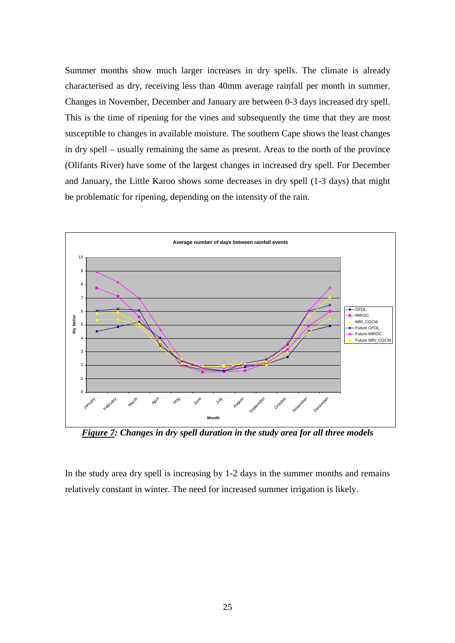Summer months show much larger increases in dry spells. The climate is already characterised as dry, receiving less than 40mm average rainfall per month in summer. Changes in November, December and January are between 0-3 days increased dry spell. This is the time of ripening for the vines and subsequently the time that they are most susceptible to changes in available moisture. The southern Cape shows the least changes in dry spell – usually remaining the same as present. Areas to the north of the province (Olifants River) have some of the largest changes in increased dry spell. For December and January, the Little Karoo shows some decreases in dry spell (1-3 days) that might be problematic for ripening, depending on the intensity of the rain.



*Figure 7: Changes in dry spell duration in the study area for all three models*

In the study area dry spell is increasing by 1-2 days in the summer months and remains relatively constant in winter. The need for increased summer irrigation is likely.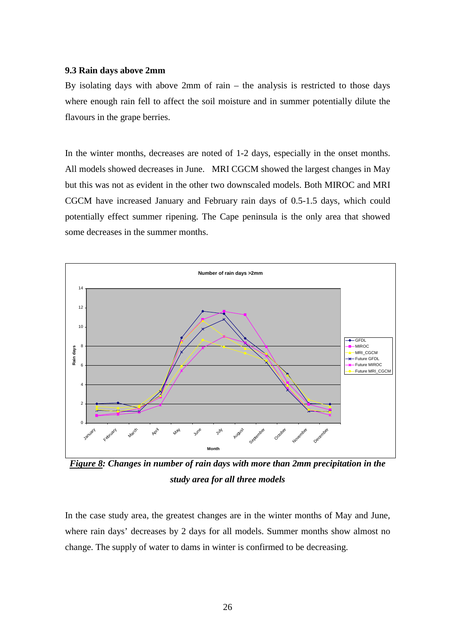#### **9.3 Rain days above 2mm**

By isolating days with above 2mm of rain – the analysis is restricted to those days where enough rain fell to affect the soil moisture and in summer potentially dilute the flavours in the grape berries.

In the winter months, decreases are noted of 1-2 days, especially in the onset months. All models showed decreases in June. MRI CGCM showed the largest changes in May but this was not as evident in the other two downscaled models. Both MIROC and MRI CGCM have increased January and February rain days of 0.5-1.5 days, which could potentially effect summer ripening. The Cape peninsula is the only area that showed some decreases in the summer months.



*Figure 8: Changes in number of rain days with more than 2mm precipitation in the study area for all three models* 

In the case study area, the greatest changes are in the winter months of May and June, where rain days' decreases by 2 days for all models. Summer months show almost no change. The supply of water to dams in winter is confirmed to be decreasing.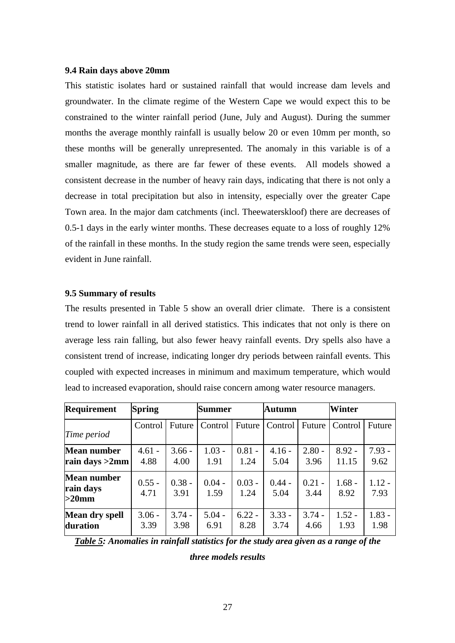#### **9.4 Rain days above 20mm**

This statistic isolates hard or sustained rainfall that would increase dam levels and groundwater. In the climate regime of the Western Cape we would expect this to be constrained to the winter rainfall period (June, July and August). During the summer months the average monthly rainfall is usually below 20 or even 10mm per month, so these months will be generally unrepresented. The anomaly in this variable is of a smaller magnitude, as there are far fewer of these events. All models showed a consistent decrease in the number of heavy rain days, indicating that there is not only a decrease in total precipitation but also in intensity, especially over the greater Cape Town area. In the major dam catchments (incl. Theewaterskloof) there are decreases of 0.5-1 days in the early winter months. These decreases equate to a loss of roughly 12% of the rainfall in these months. In the study region the same trends were seen, especially evident in June rainfall.

#### **9.5 Summary of results**

The results presented in Table 5 show an overall drier climate. There is a consistent trend to lower rainfall in all derived statistics. This indicates that not only is there on average less rain falling, but also fewer heavy rainfall events. Dry spells also have a consistent trend of increase, indicating longer dry periods between rainfall events. This coupled with expected increases in minimum and maximum temperature, which would lead to increased evaporation, should raise concern among water resource managers.

| Requirement                                 | <b>Spring</b>    |                  | <b>Summer</b>    |                  | <b>Autumn</b>    |                  | Winter            |                  |
|---------------------------------------------|------------------|------------------|------------------|------------------|------------------|------------------|-------------------|------------------|
| Time period                                 | Control          | Future           | Control Future   |                  | Control          | Future           | Control           | Future           |
| <b>Mean number</b><br>rain days $>2$ mm     | $4.61 -$<br>4.88 | $3.66 -$<br>4.00 | $1.03 -$<br>1.91 | $0.81 -$<br>1.24 | $4.16 -$<br>5.04 | $2.80 -$<br>3.96 | $8.92 -$<br>11.15 | $7.93 -$<br>9.62 |
| <b>Mean number</b><br>rain days<br>$>20$ mm | $0.55 -$<br>4.71 | $0.38 -$<br>3.91 | $0.04 -$<br>1.59 | $0.03 -$<br>1.24 | $0.44 -$<br>5.04 | $0.21 -$<br>3.44 | $1.68 -$<br>8.92  | $1.12 -$<br>7.93 |
| Mean dry spell<br>duration                  | $3.06 -$<br>3.39 | $3.74 -$<br>3.98 | $5.04 -$<br>6.91 | $6.22 -$<br>8.28 | $3.33 -$<br>3.74 | $3.74 -$<br>4.66 | $1.52 -$<br>1.93  | $1.83 -$<br>1.98 |

*Table 5: Anomalies in rainfall statistics for the study area given as a range of the* 

*three models results*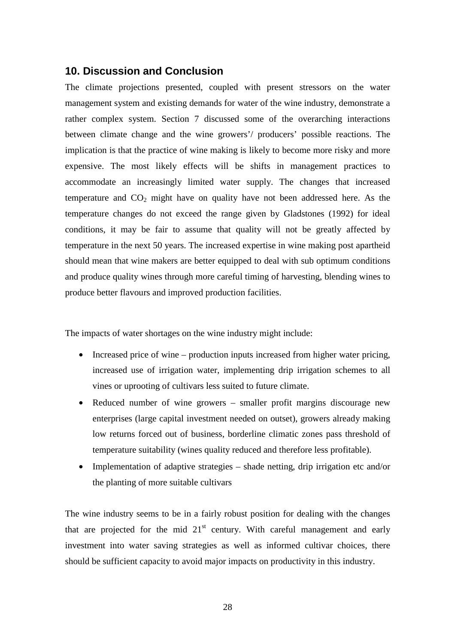### **10. Discussion and Conclusion**

The climate projections presented, coupled with present stressors on the water management system and existing demands for water of the wine industry, demonstrate a rather complex system. Section 7 discussed some of the overarching interactions between climate change and the wine growers'/ producers' possible reactions. The implication is that the practice of wine making is likely to become more risky and more expensive. The most likely effects will be shifts in management practices to accommodate an increasingly limited water supply. The changes that increased temperature and  $CO<sub>2</sub>$  might have on quality have not been addressed here. As the temperature changes do not exceed the range given by Gladstones (1992) for ideal conditions, it may be fair to assume that quality will not be greatly affected by temperature in the next 50 years. The increased expertise in wine making post apartheid should mean that wine makers are better equipped to deal with sub optimum conditions and produce quality wines through more careful timing of harvesting, blending wines to produce better flavours and improved production facilities.

The impacts of water shortages on the wine industry might include:

- Increased price of wine production inputs increased from higher water pricing, increased use of irrigation water, implementing drip irrigation schemes to all vines or uprooting of cultivars less suited to future climate.
- Reduced number of wine growers smaller profit margins discourage new enterprises (large capital investment needed on outset), growers already making low returns forced out of business, borderline climatic zones pass threshold of temperature suitability (wines quality reduced and therefore less profitable).
- Implementation of adaptive strategies shade netting, drip irrigation etc and/or the planting of more suitable cultivars

The wine industry seems to be in a fairly robust position for dealing with the changes that are projected for the mid  $21<sup>st</sup>$  century. With careful management and early investment into water saving strategies as well as informed cultivar choices, there should be sufficient capacity to avoid major impacts on productivity in this industry.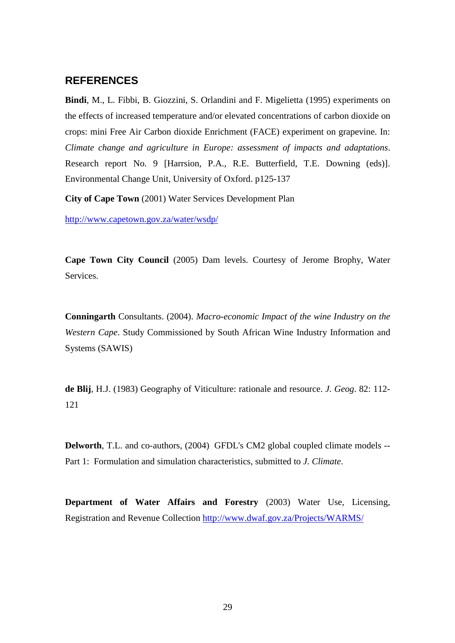## **REFERENCES**

**Bindi**, M., L. Fibbi, B. Giozzini, S. Orlandini and F. Migelietta (1995) experiments on the effects of increased temperature and/or elevated concentrations of carbon dioxide on crops: mini Free Air Carbon dioxide Enrichment (FACE) experiment on grapevine. In: *Climate change and agriculture in Europe: assessment of impacts and adaptations*. Research report No. 9 [Harrsion, P.A., R.E. Butterfield, T.E. Downing (eds)]. Environmental Change Unit, University of Oxford. p125-137

**City of Cape Town** (2001) Water Services Development Plan

http://www.capetown.gov.za/water/wsdp/

**Cape Town City Council** (2005) Dam levels. Courtesy of Jerome Brophy, Water Services.

**Conningarth** Consultants. (2004). *Macro-economic Impact of the wine Industry on the Western Cape*. Study Commissioned by South African Wine Industry Information and Systems (SAWIS)

**de Blij**, H.J. (1983) Geography of Viticulture: rationale and resource. *J. Geog*. 82: 112- 121

**Delworth**, T.L. and co-authors, (2004) GFDL's CM2 global coupled climate models -- Part 1: Formulation and simulation characteristics, submitted to *J. Climate*.

**Department of Water Affairs and Forestry** (2003) Water Use, Licensing, Registration and Revenue Collection http://www.dwaf.gov.za/Projects/WARMS/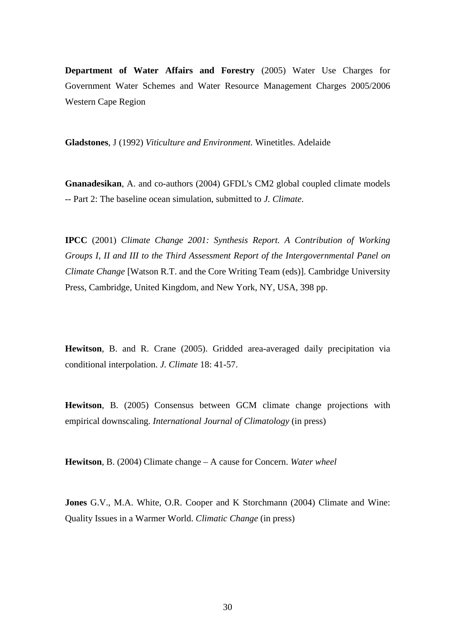**Department of Water Affairs and Forestry** (2005) Water Use Charges for Government Water Schemes and Water Resource Management Charges 2005/2006 Western Cape Region

**Gladstones**, J (1992) *Viticulture and Environment.* Winetitles. Adelaide

**Gnanadesikan**, A. and co-authors (2004) GFDL's CM2 global coupled climate models -- Part 2: The baseline ocean simulation, submitted to *J. Climate*.

**IPCC** (2001) *Climate Change 2001: Synthesis Report. A Contribution of Working Groups I, II and III to the Third Assessment Report of the Intergovernmental Panel on Climate Change* [Watson R.T. and the Core Writing Team (eds)]. Cambridge University Press, Cambridge, United Kingdom, and New York, NY, USA, 398 pp.

**Hewitson**, B. and R. Crane (2005). Gridded area-averaged daily precipitation via conditional interpolation. *J. Climate* 18: 41-57.

**Hewitson**, B. (2005) Consensus between GCM climate change projections with empirical downscaling. *International Journal of Climatology* (in press)

**Hewitson**, B. (2004) Climate change – A cause for Concern. *Water wheel*

**Jones** G.V., M.A. White, O.R. Cooper and K Storchmann (2004) Climate and Wine: Quality Issues in a Warmer World. *Climatic Change* (in press)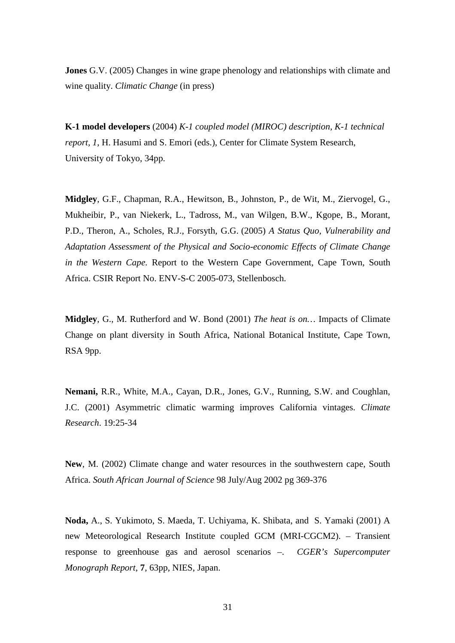**Jones** G.V. (2005) Changes in wine grape phenology and relationships with climate and wine quality. *Climatic Change* (in press)

**K-1 model developers** (2004) *K-1 coupled model (MIROC) description, K-1 technical report, 1*, H. Hasumi and S. Emori (eds.), Center for Climate System Research, University of Tokyo, 34pp.

**Midgley**, G.F., Chapman, R.A., Hewitson, B., Johnston, P., de Wit, M., Ziervogel, G., Mukheibir, P., van Niekerk, L., Tadross, M., van Wilgen, B.W., Kgope, B., Morant, P.D., Theron, A., Scholes, R.J., Forsyth, G.G. (2005) *A Status Quo, Vulnerability and Adaptation Assessment of the Physical and Socio-economic Effects of Climate Change in the Western Cape.* Report to the Western Cape Government, Cape Town, South Africa. CSIR Report No. ENV-S-C 2005-073, Stellenbosch.

**Midgley**, G., M. Rutherford and W. Bond (2001) *The heat is on…* Impacts of Climate Change on plant diversity in South Africa, National Botanical Institute, Cape Town, RSA 9pp.

**Nemani,** R.R., White, M.A., Cayan, D.R., Jones, G.V., Running, S.W. and Coughlan, J.C. (2001) Asymmetric climatic warming improves California vintages. *Climate Research*. 19:25-34

**New**, M. (2002) Climate change and water resources in the southwestern cape, South Africa. *South African Journal of Science* 98 July/Aug 2002 pg 369-376

**Noda,** A., S. Yukimoto, S. Maeda, T. Uchiyama, K. Shibata, and S. Yamaki (2001) A new Meteorological Research Institute coupled GCM (MRI-CGCM2). – Transient response to greenhouse gas and aerosol scenarios –. *CGER's Supercomputer Monograph Report*, **7**, 63pp, NIES, Japan.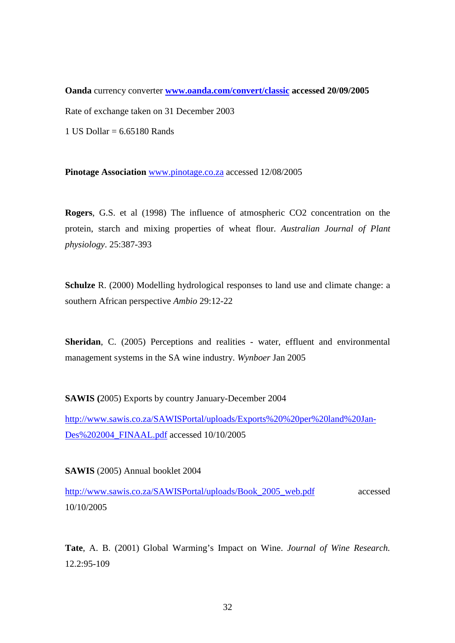**Oanda** currency converter **www.oanda.com/convert/classic accessed 20/09/2005** Rate of exchange taken on 31 December 2003

1 US Dollar  $= 6.65180$  Rands

**Pinotage Association** www.pinotage.co.za accessed 12/08/2005

**Rogers**, G.S. et al (1998) The influence of atmospheric CO2 concentration on the protein, starch and mixing properties of wheat flour. *Australian Journal of Plant physiology*. 25:387-393

**Schulze** R. (2000) Modelling hydrological responses to land use and climate change: a southern African perspective *Ambio* 29:12-22

**Sheridan**, C. (2005) Perceptions and realities - water, effluent and environmental management systems in the SA wine industry. *Wynboer* Jan 2005

**SAWIS (**2005) Exports by country January-December 2004

http://www.sawis.co.za/SAWISPortal/uploads/Exports%20%20per%20land%20Jan-Des%202004\_FINAAL.pdf accessed 10/10/2005

**SAWIS** (2005) Annual booklet 2004

http://www.sawis.co.za/SAWISPortal/uploads/Book\_2005\_web.pdf accessed 10/10/2005

**Tate**, A. B. (2001) Global Warming's Impact on Wine. *Journal of Wine Research.* 12.2:95-109